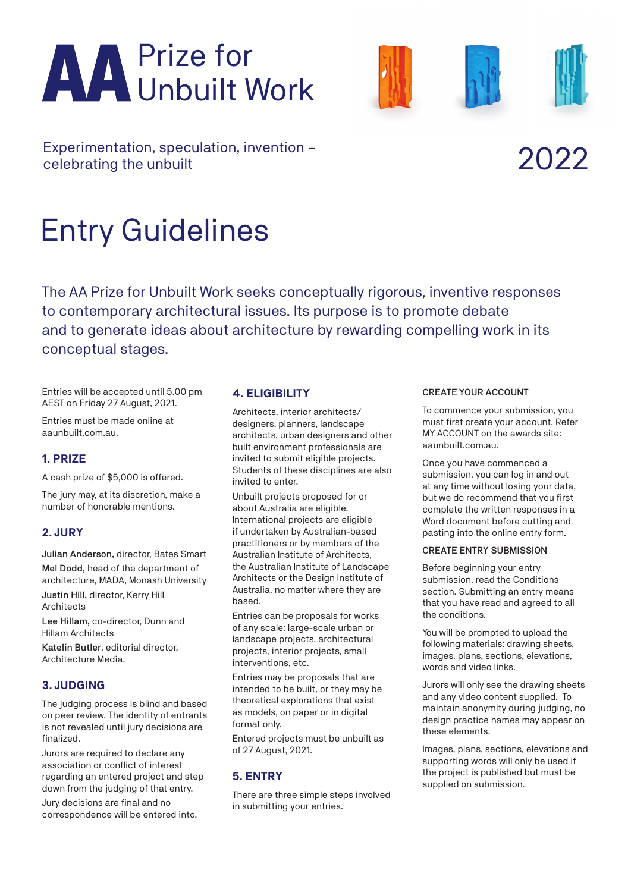# Prize for Unbuilt Work



Experimentation, speculation, invention –<br>celebrating the unbuilt and the set of the celebrating the unbuilt

# Entry Guidelines

The AA Prize for Unbuilt Work seeks conceptually rigorous, inventive responses to contemporary architectural issues. Its purpose is to promote debate and to generate ideas about architecture by rewarding compelling work in its conceptual stages.

Entries will be accepted until 5.00 pm AEST on Friday 27 August, 2021.

Entries must be made online at aaunbuilt.com.au.

# **1. PRIZE**

A cash prize of \$5,000 is offered.

The jury may, at its discretion, make a number of honorable mentions.

# **2. JURY**

Julian Anderson, director, Bates Smart Mel Dodd, head of the department of architecture, MADA, Monash University Justin Hill, director, Kerry Hill Architects

Lee Hillam, co-director, Dunn and Hillam Architects

Katelin Butler, editorial director, Architecture Media.

# **3. JUDGING**

The judging process is blind and based on peer review. The identity of entrants is not revealed until jury decisions are finalized.

Jurors are required to declare any association or conflict of interest regarding an entered project and step down from the judging of that entry.

Jury decisions are final and no correspondence will be entered into.

# **4. ELIGIBILITY**

Architects, interior architects/ designers, planners, landscape architects, urban designers and other built environment professionals are invited to submit eligible projects. Students of these disciplines are also invited to enter.

Unbuilt projects proposed for or about Australia are eligible. International projects are eligible if undertaken by Australian-based practitioners or by members of the Australian Institute of Architects, the Australian Institute of Landscape Architects or the Design Institute of Australia, no matter where they are based.

Entries can be proposals for works of any scale: large-scale urban or landscape projects, architectural projects, interior projects, small interventions, etc.

Entries may be proposals that are intended to be built, or they may be theoretical explorations that exist as models, on paper or in digital format only.

Entered projects must be unbuilt as of 27 August, 2021.

# **5. ENTRY**

There are three simple steps involved in submitting your entries.

#### CREATE YOUR ACCOUNT

To commence your submission, you must first create your account. Refer MY ACCOUNT on the awards site: aaunbuilt.com.au.

Once you have commenced a submission, you can log in and out at any time without losing your data, but we do recommend that you first complete the written responses in a Word document before cutting and pasting into the online entry form.

#### CREATE ENTRY SUBMISSION

Before beginning your entry submission, read the Conditions section. Submitting an entry means that you have read and agreed to all the conditions.

You will be prompted to upload the following materials: drawing sheets, images, plans, sections, elevations, words and video links.

Jurors will only see the drawing sheets and any video content supplied. To maintain anonymity during judging, no design practice names may appear on these elements.

Images, plans, sections, elevations and supporting words will only be used if the project is published but must be supplied on submission.